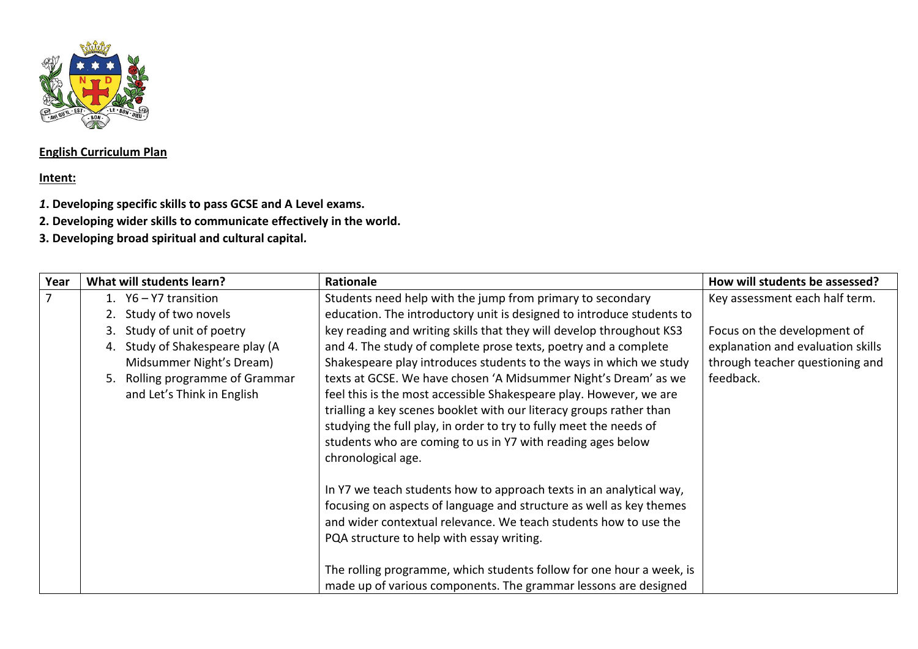

## **English Curriculum Plan**

## **Intent:**

- *1***. Developing specific skills to pass GCSE and A Level exams.**
- **2. Developing wider skills to communicate effectively in the world.**
- **3. Developing broad spiritual and cultural capital***.*

| Year           | What will students learn?                                                                                                                                           | Rationale                                                                                                                                                                                                                                                                                                                                                                                                                                                                                                                                                                                | How will students be assessed?                                                                                   |
|----------------|---------------------------------------------------------------------------------------------------------------------------------------------------------------------|------------------------------------------------------------------------------------------------------------------------------------------------------------------------------------------------------------------------------------------------------------------------------------------------------------------------------------------------------------------------------------------------------------------------------------------------------------------------------------------------------------------------------------------------------------------------------------------|------------------------------------------------------------------------------------------------------------------|
| $\overline{7}$ | 1. $Y6 - Y7$ transition<br>Study of two novels                                                                                                                      | Students need help with the jump from primary to secondary<br>education. The introductory unit is designed to introduce students to                                                                                                                                                                                                                                                                                                                                                                                                                                                      | Key assessment each half term.                                                                                   |
|                | Study of unit of poetry<br>3.<br>Study of Shakespeare play (A<br>4.<br>Midsummer Night's Dream)<br>Rolling programme of Grammar<br>5.<br>and Let's Think in English | key reading and writing skills that they will develop throughout KS3<br>and 4. The study of complete prose texts, poetry and a complete<br>Shakespeare play introduces students to the ways in which we study<br>texts at GCSE. We have chosen 'A Midsummer Night's Dream' as we<br>feel this is the most accessible Shakespeare play. However, we are<br>trialling a key scenes booklet with our literacy groups rather than<br>studying the full play, in order to try to fully meet the needs of<br>students who are coming to us in Y7 with reading ages below<br>chronological age. | Focus on the development of<br>explanation and evaluation skills<br>through teacher questioning and<br>feedback. |
|                |                                                                                                                                                                     | In Y7 we teach students how to approach texts in an analytical way,<br>focusing on aspects of language and structure as well as key themes<br>and wider contextual relevance. We teach students how to use the<br>PQA structure to help with essay writing.<br>The rolling programme, which students follow for one hour a week, is<br>made up of various components. The grammar lessons are designed                                                                                                                                                                                   |                                                                                                                  |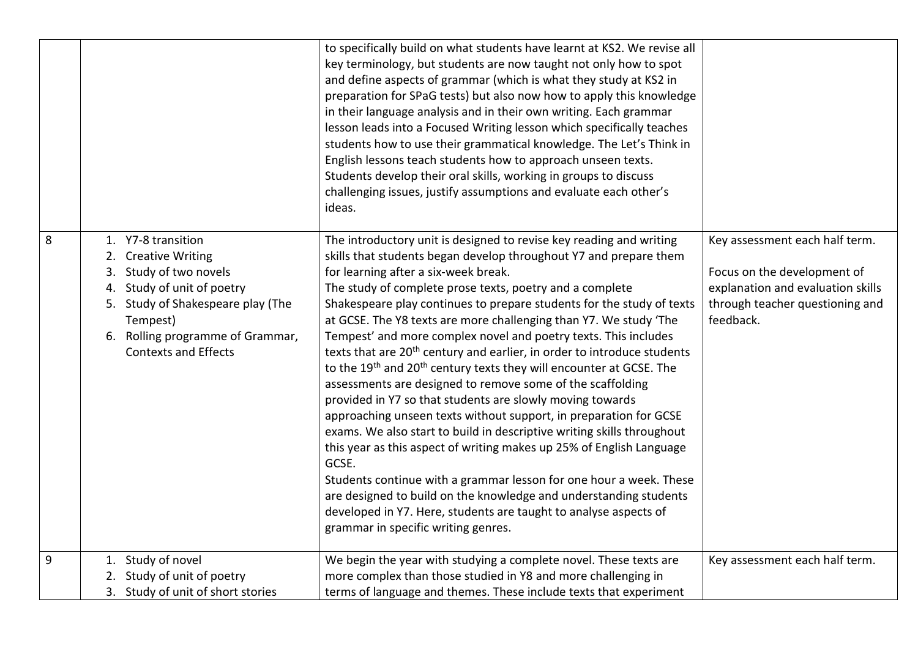|   |                                                                                                                                                                                                                                | to specifically build on what students have learnt at KS2. We revise all<br>key terminology, but students are now taught not only how to spot<br>and define aspects of grammar (which is what they study at KS2 in<br>preparation for SPaG tests) but also now how to apply this knowledge<br>in their language analysis and in their own writing. Each grammar<br>lesson leads into a Focused Writing lesson which specifically teaches<br>students how to use their grammatical knowledge. The Let's Think in<br>English lessons teach students how to approach unseen texts.<br>Students develop their oral skills, working in groups to discuss<br>challenging issues, justify assumptions and evaluate each other's<br>ideas.                                                                                                                                                                                                                                                                                                                                                                                                                                                                                                                                   |                                                                                                                                                    |
|---|--------------------------------------------------------------------------------------------------------------------------------------------------------------------------------------------------------------------------------|----------------------------------------------------------------------------------------------------------------------------------------------------------------------------------------------------------------------------------------------------------------------------------------------------------------------------------------------------------------------------------------------------------------------------------------------------------------------------------------------------------------------------------------------------------------------------------------------------------------------------------------------------------------------------------------------------------------------------------------------------------------------------------------------------------------------------------------------------------------------------------------------------------------------------------------------------------------------------------------------------------------------------------------------------------------------------------------------------------------------------------------------------------------------------------------------------------------------------------------------------------------------|----------------------------------------------------------------------------------------------------------------------------------------------------|
| 8 | 1. Y7-8 transition<br>2. Creative Writing<br>Study of two novels<br>3.<br>Study of unit of poetry<br>4.<br>5. Study of Shakespeare play (The<br>Tempest)<br>Rolling programme of Grammar,<br>6.<br><b>Contexts and Effects</b> | The introductory unit is designed to revise key reading and writing<br>skills that students began develop throughout Y7 and prepare them<br>for learning after a six-week break.<br>The study of complete prose texts, poetry and a complete<br>Shakespeare play continues to prepare students for the study of texts<br>at GCSE. The Y8 texts are more challenging than Y7. We study 'The<br>Tempest' and more complex novel and poetry texts. This includes<br>texts that are 20 <sup>th</sup> century and earlier, in order to introduce students<br>to the 19 <sup>th</sup> and 20 <sup>th</sup> century texts they will encounter at GCSE. The<br>assessments are designed to remove some of the scaffolding<br>provided in Y7 so that students are slowly moving towards<br>approaching unseen texts without support, in preparation for GCSE<br>exams. We also start to build in descriptive writing skills throughout<br>this year as this aspect of writing makes up 25% of English Language<br>GCSE.<br>Students continue with a grammar lesson for one hour a week. These<br>are designed to build on the knowledge and understanding students<br>developed in Y7. Here, students are taught to analyse aspects of<br>grammar in specific writing genres. | Key assessment each half term.<br>Focus on the development of<br>explanation and evaluation skills<br>through teacher questioning and<br>feedback. |
| 9 | 1. Study of novel<br>2. Study of unit of poetry<br>3. Study of unit of short stories                                                                                                                                           | We begin the year with studying a complete novel. These texts are<br>more complex than those studied in Y8 and more challenging in<br>terms of language and themes. These include texts that experiment                                                                                                                                                                                                                                                                                                                                                                                                                                                                                                                                                                                                                                                                                                                                                                                                                                                                                                                                                                                                                                                              | Key assessment each half term.                                                                                                                     |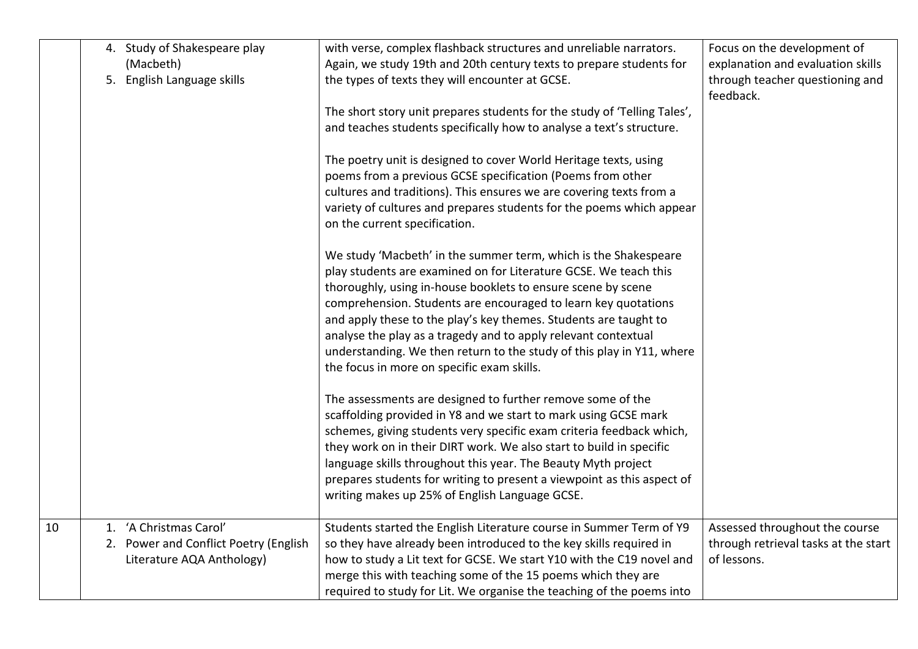|    | 4. Study of Shakespeare play<br>(Macbeth)<br>5. English Language skills | with verse, complex flashback structures and unreliable narrators.<br>Again, we study 19th and 20th century texts to prepare students for<br>the types of texts they will encounter at GCSE.                                                                                 | Focus on the development of<br>explanation and evaluation skills<br>through teacher questioning and<br>feedback. |
|----|-------------------------------------------------------------------------|------------------------------------------------------------------------------------------------------------------------------------------------------------------------------------------------------------------------------------------------------------------------------|------------------------------------------------------------------------------------------------------------------|
|    |                                                                         | The short story unit prepares students for the study of 'Telling Tales',<br>and teaches students specifically how to analyse a text's structure.                                                                                                                             |                                                                                                                  |
|    |                                                                         | The poetry unit is designed to cover World Heritage texts, using<br>poems from a previous GCSE specification (Poems from other<br>cultures and traditions). This ensures we are covering texts from a                                                                        |                                                                                                                  |
|    |                                                                         | variety of cultures and prepares students for the poems which appear<br>on the current specification.                                                                                                                                                                        |                                                                                                                  |
|    |                                                                         | We study 'Macbeth' in the summer term, which is the Shakespeare<br>play students are examined on for Literature GCSE. We teach this<br>thoroughly, using in-house booklets to ensure scene by scene<br>comprehension. Students are encouraged to learn key quotations        |                                                                                                                  |
|    |                                                                         | and apply these to the play's key themes. Students are taught to<br>analyse the play as a tragedy and to apply relevant contextual<br>understanding. We then return to the study of this play in Y11, where<br>the focus in more on specific exam skills.                    |                                                                                                                  |
|    |                                                                         | The assessments are designed to further remove some of the<br>scaffolding provided in Y8 and we start to mark using GCSE mark<br>schemes, giving students very specific exam criteria feedback which,<br>they work on in their DIRT work. We also start to build in specific |                                                                                                                  |
|    |                                                                         | language skills throughout this year. The Beauty Myth project<br>prepares students for writing to present a viewpoint as this aspect of<br>writing makes up 25% of English Language GCSE.                                                                                    |                                                                                                                  |
| 10 | 1. 'A Christmas Carol'                                                  | Students started the English Literature course in Summer Term of Y9                                                                                                                                                                                                          | Assessed throughout the course                                                                                   |
|    | 2. Power and Conflict Poetry (English                                   | so they have already been introduced to the key skills required in                                                                                                                                                                                                           | through retrieval tasks at the start                                                                             |
|    | Literature AQA Anthology)                                               | how to study a Lit text for GCSE. We start Y10 with the C19 novel and                                                                                                                                                                                                        | of lessons.                                                                                                      |
|    |                                                                         | merge this with teaching some of the 15 poems which they are                                                                                                                                                                                                                 |                                                                                                                  |
|    |                                                                         | required to study for Lit. We organise the teaching of the poems into                                                                                                                                                                                                        |                                                                                                                  |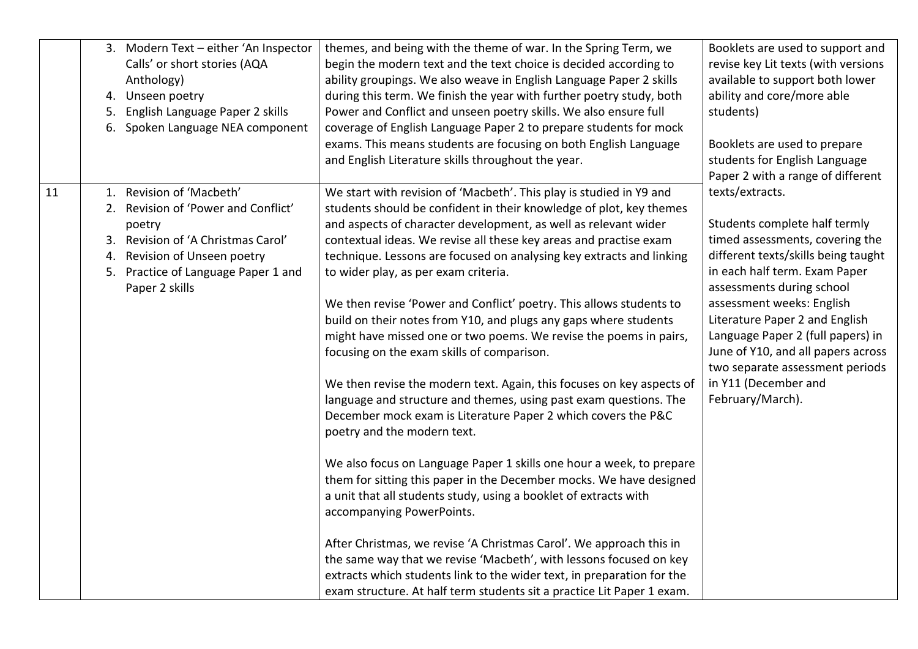|    | 3. Modern Text - either 'An Inspector<br>Calls' or short stories (AQA<br>Anthology)<br>4. Unseen poetry<br>5. English Language Paper 2 skills<br>6. Spoken Language NEA component                        | themes, and being with the theme of war. In the Spring Term, we<br>begin the modern text and the text choice is decided according to<br>ability groupings. We also weave in English Language Paper 2 skills<br>during this term. We finish the year with further poetry study, both<br>Power and Conflict and unseen poetry skills. We also ensure full<br>coverage of English Language Paper 2 to prepare students for mock<br>exams. This means students are focusing on both English Language<br>and English Literature skills throughout the year.                                                                                                                                                                                                                                                                                                                                                                                                                                                                                                                                                                                                                                                                                                                                                                                                                                                                                                          | Booklets are used to support and<br>revise key Lit texts (with versions<br>available to support both lower<br>ability and core/more able<br>students)<br>Booklets are used to prepare<br>students for English Language<br>Paper 2 with a range of different                                                                                                                                                       |
|----|----------------------------------------------------------------------------------------------------------------------------------------------------------------------------------------------------------|-----------------------------------------------------------------------------------------------------------------------------------------------------------------------------------------------------------------------------------------------------------------------------------------------------------------------------------------------------------------------------------------------------------------------------------------------------------------------------------------------------------------------------------------------------------------------------------------------------------------------------------------------------------------------------------------------------------------------------------------------------------------------------------------------------------------------------------------------------------------------------------------------------------------------------------------------------------------------------------------------------------------------------------------------------------------------------------------------------------------------------------------------------------------------------------------------------------------------------------------------------------------------------------------------------------------------------------------------------------------------------------------------------------------------------------------------------------------|-------------------------------------------------------------------------------------------------------------------------------------------------------------------------------------------------------------------------------------------------------------------------------------------------------------------------------------------------------------------------------------------------------------------|
| 11 | 1. Revision of 'Macbeth'<br>2. Revision of 'Power and Conflict'<br>poetry<br>3. Revision of 'A Christmas Carol'<br>4. Revision of Unseen poetry<br>5. Practice of Language Paper 1 and<br>Paper 2 skills | We start with revision of 'Macbeth'. This play is studied in Y9 and<br>students should be confident in their knowledge of plot, key themes<br>and aspects of character development, as well as relevant wider<br>contextual ideas. We revise all these key areas and practise exam<br>technique. Lessons are focused on analysing key extracts and linking<br>to wider play, as per exam criteria.<br>We then revise 'Power and Conflict' poetry. This allows students to<br>build on their notes from Y10, and plugs any gaps where students<br>might have missed one or two poems. We revise the poems in pairs,<br>focusing on the exam skills of comparison.<br>We then revise the modern text. Again, this focuses on key aspects of<br>language and structure and themes, using past exam questions. The<br>December mock exam is Literature Paper 2 which covers the P&C<br>poetry and the modern text.<br>We also focus on Language Paper 1 skills one hour a week, to prepare<br>them for sitting this paper in the December mocks. We have designed<br>a unit that all students study, using a booklet of extracts with<br>accompanying PowerPoints.<br>After Christmas, we revise 'A Christmas Carol'. We approach this in<br>the same way that we revise 'Macbeth', with lessons focused on key<br>extracts which students link to the wider text, in preparation for the<br>exam structure. At half term students sit a practice Lit Paper 1 exam. | texts/extracts.<br>Students complete half termly<br>timed assessments, covering the<br>different texts/skills being taught<br>in each half term. Exam Paper<br>assessments during school<br>assessment weeks: English<br>Literature Paper 2 and English<br>Language Paper 2 (full papers) in<br>June of Y10, and all papers across<br>two separate assessment periods<br>in Y11 (December and<br>February/March). |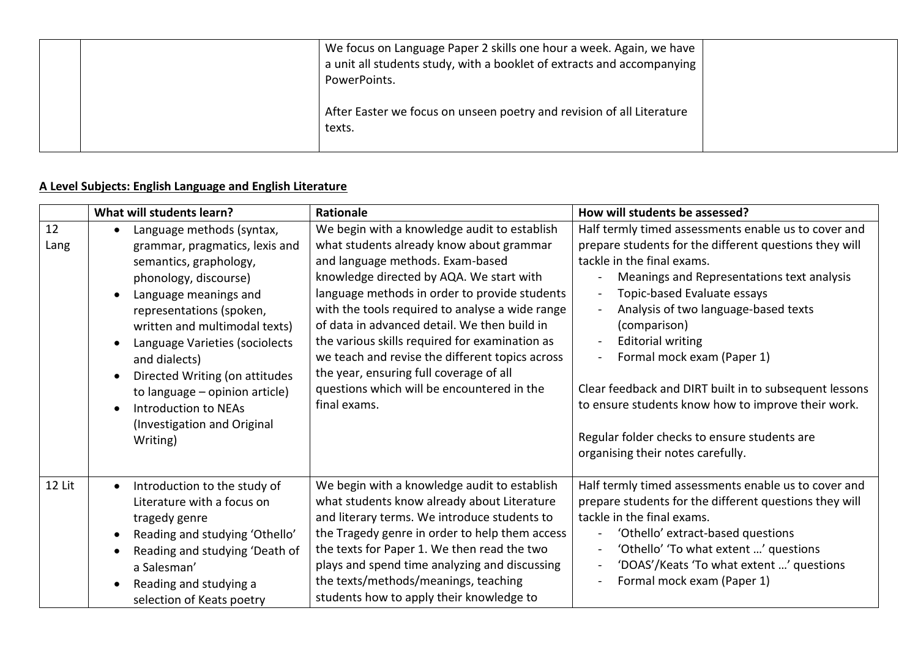|  | We focus on Language Paper 2 skills one hour a week. Again, we have<br>a unit all students study, with a booklet of extracts and accompanying<br>PowerPoints. |  |
|--|---------------------------------------------------------------------------------------------------------------------------------------------------------------|--|
|  | After Easter we focus on unseen poetry and revision of all Literature<br>texts.                                                                               |  |

## **A Level Subjects: English Language and English Literature**

|            | What will students learn?                                                                                                                                                                                                                                                                                                                                                                      | <b>Rationale</b>                                                                                                                                                                                                                                                                                                                                                                                                                                                                                                                           | How will students be assessed?                                                                                                                                                                                                                                                                                                                                                                                                                                                                                                                                     |
|------------|------------------------------------------------------------------------------------------------------------------------------------------------------------------------------------------------------------------------------------------------------------------------------------------------------------------------------------------------------------------------------------------------|--------------------------------------------------------------------------------------------------------------------------------------------------------------------------------------------------------------------------------------------------------------------------------------------------------------------------------------------------------------------------------------------------------------------------------------------------------------------------------------------------------------------------------------------|--------------------------------------------------------------------------------------------------------------------------------------------------------------------------------------------------------------------------------------------------------------------------------------------------------------------------------------------------------------------------------------------------------------------------------------------------------------------------------------------------------------------------------------------------------------------|
| 12<br>Lang | Language methods (syntax,<br>grammar, pragmatics, lexis and<br>semantics, graphology,<br>phonology, discourse)<br>Language meanings and<br>representations (spoken,<br>written and multimodal texts)<br>Language Varieties (sociolects<br>and dialects)<br>Directed Writing (on attitudes<br>to language - opinion article)<br>Introduction to NEAs<br>(Investigation and Original<br>Writing) | We begin with a knowledge audit to establish<br>what students already know about grammar<br>and language methods. Exam-based<br>knowledge directed by AQA. We start with<br>language methods in order to provide students<br>with the tools required to analyse a wide range<br>of data in advanced detail. We then build in<br>the various skills required for examination as<br>we teach and revise the different topics across<br>the year, ensuring full coverage of all<br>questions which will be encountered in the<br>final exams. | Half termly timed assessments enable us to cover and<br>prepare students for the different questions they will<br>tackle in the final exams.<br>Meanings and Representations text analysis<br>Topic-based Evaluate essays<br>Analysis of two language-based texts<br>(comparison)<br><b>Editorial writing</b><br>$\blacksquare$<br>Formal mock exam (Paper 1)<br>Clear feedback and DIRT built in to subsequent lessons<br>to ensure students know how to improve their work.<br>Regular folder checks to ensure students are<br>organising their notes carefully. |
| 12 Lit     | Introduction to the study of<br>$\bullet$<br>Literature with a focus on<br>tragedy genre<br>Reading and studying 'Othello'<br>Reading and studying 'Death of<br>a Salesman'<br>Reading and studying a<br>selection of Keats poetry                                                                                                                                                             | We begin with a knowledge audit to establish<br>what students know already about Literature<br>and literary terms. We introduce students to<br>the Tragedy genre in order to help them access<br>the texts for Paper 1. We then read the two<br>plays and spend time analyzing and discussing<br>the texts/methods/meanings, teaching<br>students how to apply their knowledge to                                                                                                                                                          | Half termly timed assessments enable us to cover and<br>prepare students for the different questions they will<br>tackle in the final exams.<br>'Othello' extract-based questions<br>'Othello' 'To what extent ' questions<br>'DOAS'/Keats 'To what extent ' questions<br>Formal mock exam (Paper 1)                                                                                                                                                                                                                                                               |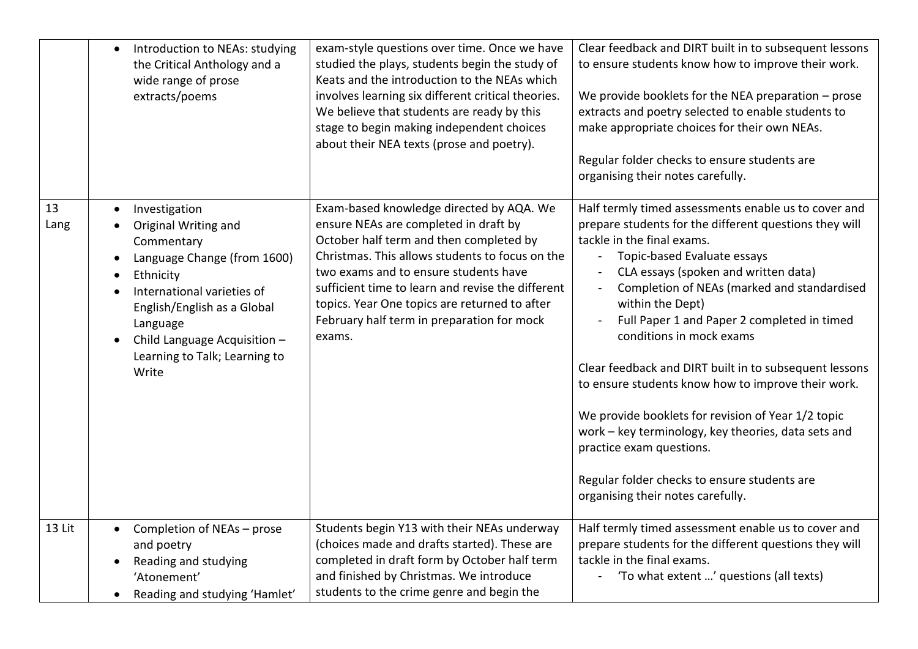|            | Introduction to NEAs: studying<br>$\bullet$<br>the Critical Anthology and a<br>wide range of prose<br>extracts/poems                                                                                                                                                                                                | exam-style questions over time. Once we have<br>studied the plays, students begin the study of<br>Keats and the introduction to the NEAs which<br>involves learning six different critical theories.<br>We believe that students are ready by this<br>stage to begin making independent choices<br>about their NEA texts (prose and poetry).                                           | Clear feedback and DIRT built in to subsequent lessons<br>to ensure students know how to improve their work.<br>We provide booklets for the NEA preparation - prose<br>extracts and poetry selected to enable students to<br>make appropriate choices for their own NEAs.<br>Regular folder checks to ensure students are<br>organising their notes carefully.                                                                                                                                                                                                                                                                                                                                                  |
|------------|---------------------------------------------------------------------------------------------------------------------------------------------------------------------------------------------------------------------------------------------------------------------------------------------------------------------|----------------------------------------------------------------------------------------------------------------------------------------------------------------------------------------------------------------------------------------------------------------------------------------------------------------------------------------------------------------------------------------|-----------------------------------------------------------------------------------------------------------------------------------------------------------------------------------------------------------------------------------------------------------------------------------------------------------------------------------------------------------------------------------------------------------------------------------------------------------------------------------------------------------------------------------------------------------------------------------------------------------------------------------------------------------------------------------------------------------------|
| 13<br>Lang | Investigation<br>$\bullet$<br>Original Writing and<br>$\bullet$<br>Commentary<br>Language Change (from 1600)<br>$\bullet$<br>Ethnicity<br>$\bullet$<br>International varieties of<br>$\bullet$<br>English/English as a Global<br>Language<br>Child Language Acquisition -<br>Learning to Talk; Learning to<br>Write | Exam-based knowledge directed by AQA. We<br>ensure NEAs are completed in draft by<br>October half term and then completed by<br>Christmas. This allows students to focus on the<br>two exams and to ensure students have<br>sufficient time to learn and revise the different<br>topics. Year One topics are returned to after<br>February half term in preparation for mock<br>exams. | Half termly timed assessments enable us to cover and<br>prepare students for the different questions they will<br>tackle in the final exams.<br>Topic-based Evaluate essays<br>CLA essays (spoken and written data)<br>Completion of NEAs (marked and standardised<br>within the Dept)<br>Full Paper 1 and Paper 2 completed in timed<br>conditions in mock exams<br>Clear feedback and DIRT built in to subsequent lessons<br>to ensure students know how to improve their work.<br>We provide booklets for revision of Year 1/2 topic<br>work - key terminology, key theories, data sets and<br>practice exam questions.<br>Regular folder checks to ensure students are<br>organising their notes carefully. |
| 13 Lit     | Completion of NEAs - prose<br>$\bullet$<br>and poetry<br>Reading and studying<br>$\bullet$<br>'Atonement'<br>Reading and studying 'Hamlet'<br>$\bullet$                                                                                                                                                             | Students begin Y13 with their NEAs underway<br>(choices made and drafts started). These are<br>completed in draft form by October half term<br>and finished by Christmas. We introduce<br>students to the crime genre and begin the                                                                                                                                                    | Half termly timed assessment enable us to cover and<br>prepare students for the different questions they will<br>tackle in the final exams.<br>'To what extent ' questions (all texts)                                                                                                                                                                                                                                                                                                                                                                                                                                                                                                                          |